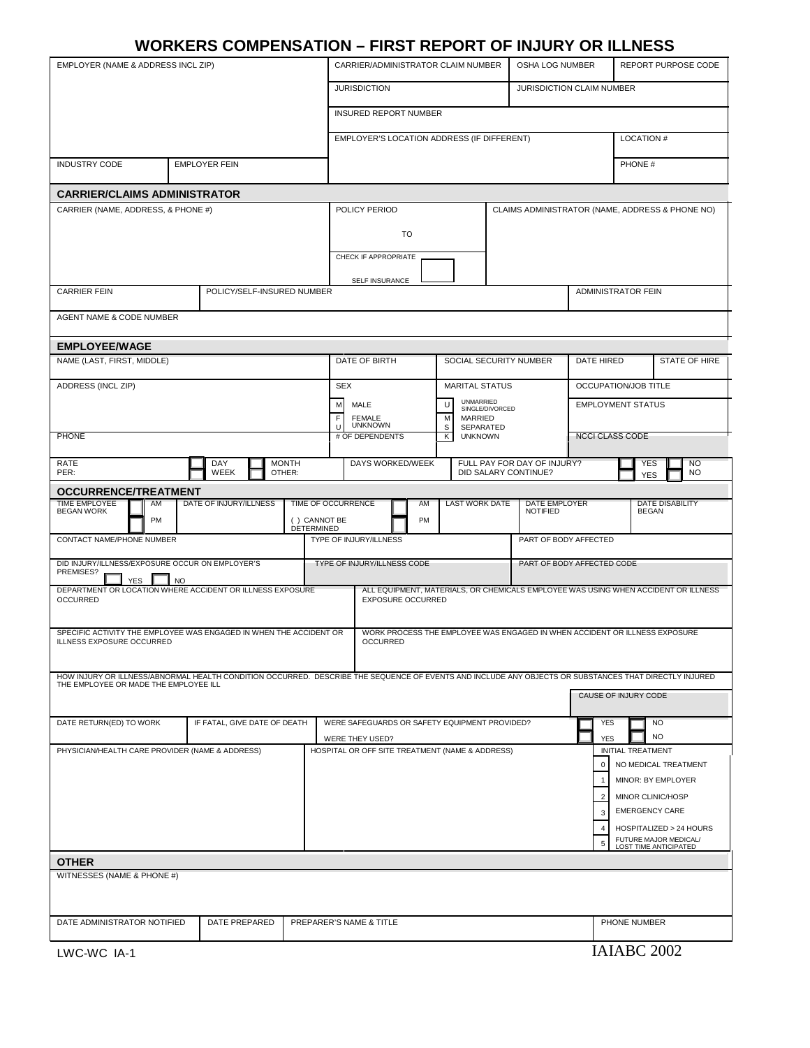# **WORKERS COMPENSATION – FIRST REPORT OF INJURY OR ILLNESS**

| EMPLOYER (NAME & ADDRESS INCL ZIP)                                                                                                                                                             |                                                                                                                | CARRIER/ADMINISTRATOR CLAIM NUMBER                                                            |                                                                    |                                                           |                        | OSHA LOG NUMBER                                     |                            | <b>REPORT PURPOSE CODE</b>                         |                                                |  |  |
|------------------------------------------------------------------------------------------------------------------------------------------------------------------------------------------------|----------------------------------------------------------------------------------------------------------------|-----------------------------------------------------------------------------------------------|--------------------------------------------------------------------|-----------------------------------------------------------|------------------------|-----------------------------------------------------|----------------------------|----------------------------------------------------|------------------------------------------------|--|--|
|                                                                                                                                                                                                |                                                                                                                |                                                                                               | <b>JURISDICTION</b>                                                |                                                           |                        | JURISDICTION CLAIM NUMBER                           |                            |                                                    |                                                |  |  |
|                                                                                                                                                                                                |                                                                                                                |                                                                                               | <b>INSURED REPORT NUMBER</b>                                       |                                                           |                        |                                                     |                            |                                                    |                                                |  |  |
|                                                                                                                                                                                                |                                                                                                                |                                                                                               | EMPLOYER'S LOCATION ADDRESS (IF DIFFERENT)                         |                                                           |                        |                                                     |                            | <b>LOCATION #</b>                                  |                                                |  |  |
| <b>INDUSTRY CODE</b><br><b>EMPLOYER FEIN</b>                                                                                                                                                   |                                                                                                                |                                                                                               |                                                                    |                                                           |                        |                                                     |                            | PHONE #                                            |                                                |  |  |
| <b>CARRIER/CLAIMS ADMINISTRATOR</b>                                                                                                                                                            |                                                                                                                |                                                                                               |                                                                    |                                                           |                        |                                                     |                            |                                                    |                                                |  |  |
| CARRIER (NAME, ADDRESS, & PHONE #)                                                                                                                                                             |                                                                                                                |                                                                                               | POLICY PERIOD                                                      |                                                           |                        |                                                     |                            | CLAIMS ADMINISTRATOR (NAME, ADDRESS & PHONE NO)    |                                                |  |  |
|                                                                                                                                                                                                |                                                                                                                |                                                                                               | <b>TO</b>                                                          |                                                           |                        |                                                     |                            |                                                    |                                                |  |  |
|                                                                                                                                                                                                |                                                                                                                |                                                                                               | CHECK IF APPROPRIATE                                               |                                                           |                        |                                                     |                            |                                                    |                                                |  |  |
|                                                                                                                                                                                                |                                                                                                                |                                                                                               |                                                                    | SELF INSURANCE                                            |                        |                                                     |                            |                                                    |                                                |  |  |
| <b>CARRIER FEIN</b>                                                                                                                                                                            | POLICY/SELF-INSURED NUMBER                                                                                     |                                                                                               |                                                                    |                                                           |                        | <b>ADMINISTRATOR FEIN</b>                           |                            |                                                    |                                                |  |  |
| AGENT NAME & CODE NUMBER                                                                                                                                                                       |                                                                                                                |                                                                                               |                                                                    |                                                           |                        |                                                     |                            |                                                    |                                                |  |  |
| <b>EMPLOYEE/WAGE</b>                                                                                                                                                                           |                                                                                                                |                                                                                               |                                                                    |                                                           |                        |                                                     |                            |                                                    |                                                |  |  |
| NAME (LAST, FIRST, MIDDLE)                                                                                                                                                                     |                                                                                                                |                                                                                               | DATE OF BIRTH                                                      |                                                           | SOCIAL SECURITY NUMBER |                                                     | <b>DATE HIRED</b>          |                                                    | <b>STATE OF HIRE</b>                           |  |  |
| ADDRESS (INCL ZIP)                                                                                                                                                                             |                                                                                                                | <b>SEX</b>                                                                                    |                                                                    | <b>MARITAL STATUS</b>                                     |                        |                                                     | OCCUPATION/JOB TITLE       |                                                    |                                                |  |  |
|                                                                                                                                                                                                |                                                                                                                |                                                                                               | MALE<br><b>FEMALE</b>                                              | <b>UNMARRIED</b><br>IJ<br>SINGLE/DIVORCED<br>M<br>MARRIED |                        | <b>EMPLOYMENT STATUS</b>                            |                            |                                                    |                                                |  |  |
| <b>PHONE</b>                                                                                                                                                                                   |                                                                                                                |                                                                                               | <b>UNKNOWN</b><br># OF DEPENDENTS                                  | S<br>SEPARATED<br>Κ<br><b>UNKNOWN</b>                     |                        |                                                     | <b>NCCI CLASS CODE</b>     |                                                    |                                                |  |  |
|                                                                                                                                                                                                |                                                                                                                |                                                                                               |                                                                    |                                                           |                        |                                                     |                            |                                                    |                                                |  |  |
| <b>RATE</b><br>PER:                                                                                                                                                                            | <b>MONTH</b><br>DAY<br>WEEK<br>OTHER:                                                                          |                                                                                               | DAYS WORKED/WEEK                                                   |                                                           |                        | FULL PAY FOR DAY OF INJURY?<br>DID SALARY CONTINUE? |                            | <b>YES</b><br>YES                                  | <b>NO</b><br><b>NO</b>                         |  |  |
| <b>OCCURRENCE/TREATMENT</b>                                                                                                                                                                    |                                                                                                                |                                                                                               |                                                                    |                                                           |                        |                                                     |                            |                                                    |                                                |  |  |
| <b>TIME EMPLOYEE</b><br>AM<br><b>BEGAN WORK</b><br><b>PM</b>                                                                                                                                   | DATE OF INJURY/ILLNESS                                                                                         | TIME OF OCCURRENCE<br>() CANNOT BE                                                            | AM<br>PM                                                           | <b>LAST WORK DATE</b>                                     |                        | DATE EMPLOYER<br><b>NOTIFIED</b>                    |                            | <b>BEGAN</b>                                       | <b>DATE DISABILITY</b>                         |  |  |
| CONTACT NAME/PHONE NUMBER                                                                                                                                                                      |                                                                                                                | <b>DETERMINED</b>                                                                             | TYPE OF INJURY/ILLNESS                                             |                                                           |                        | PART OF BODY AFFECTED                               |                            |                                                    |                                                |  |  |
| DID INJURY/ILLNESS/EXPOSURE OCCUR ON EMPLOYER'S<br>PREMISES?                                                                                                                                   |                                                                                                                | TYPE OF INJURY/ILLNESS CODE                                                                   |                                                                    |                                                           |                        |                                                     | PART OF BODY AFFECTED CODE |                                                    |                                                |  |  |
| <b>YES</b><br><b>NO</b><br>DEPARTMENT OR LOCATION WHERE ACCIDENT OR ILLNESS EXPOSURE<br><b>OCCURRED</b>                                                                                        | ALL EQUIPMENT, MATERIALS, OR CHEMICALS EMPLOYEE WAS USING WHEN ACCIDENT OR ILLNESS<br><b>EXPOSURE OCCURRED</b> |                                                                                               |                                                                    |                                                           |                        |                                                     |                            |                                                    |                                                |  |  |
|                                                                                                                                                                                                |                                                                                                                |                                                                                               |                                                                    |                                                           |                        |                                                     |                            |                                                    |                                                |  |  |
| SPECIFIC ACTIVITY THE EMPLOYEE WAS ENGAGED IN WHEN THE ACCIDENT OR<br>ILLNESS EXPOSURE OCCURRED                                                                                                |                                                                                                                | WORK PROCESS THE EMPLOYEE WAS ENGAGED IN WHEN ACCIDENT OR ILLNESS EXPOSURE<br><b>OCCURRED</b> |                                                                    |                                                           |                        |                                                     |                            |                                                    |                                                |  |  |
|                                                                                                                                                                                                |                                                                                                                |                                                                                               |                                                                    |                                                           |                        |                                                     |                            |                                                    |                                                |  |  |
| HOW INJURY OR ILLNESS/ABNORMAL HEALTH CONDITION OCCURRED. DESCRIBE THE SEQUENCE OF EVENTS AND INCLUDE ANY OBJECTS OR SUBSTANCES THAT DIRECTLY INJURED<br>THE EMPLOYEE OR MADE THE EMPLOYEE ILL |                                                                                                                |                                                                                               |                                                                    |                                                           |                        |                                                     |                            | CAUSE OF INJURY CODE                               |                                                |  |  |
|                                                                                                                                                                                                |                                                                                                                |                                                                                               |                                                                    |                                                           |                        |                                                     |                            |                                                    |                                                |  |  |
| DATE RETURN(ED) TO WORK                                                                                                                                                                        | IF FATAL, GIVE DATE OF DEATH                                                                                   |                                                                                               | WERE SAFEGUARDS OR SAFETY EQUIPMENT PROVIDED?                      |                                                           |                        |                                                     |                            | <b>YES</b><br><b>NO</b><br><b>NO</b><br><b>YES</b> |                                                |  |  |
| PHYSICIAN/HEALTH CARE PROVIDER (NAME & ADDRESS)                                                                                                                                                |                                                                                                                |                                                                                               | WERE THEY USED?<br>HOSPITAL OR OFF SITE TREATMENT (NAME & ADDRESS) |                                                           |                        |                                                     |                            | INITIAL TREATMENT                                  |                                                |  |  |
|                                                                                                                                                                                                |                                                                                                                |                                                                                               |                                                                    |                                                           |                        |                                                     | $\Omega$<br>$\mathbf{1}$   |                                                    | NO MEDICAL TREATMENT<br>MINOR: BY EMPLOYER     |  |  |
|                                                                                                                                                                                                |                                                                                                                |                                                                                               |                                                                    |                                                           |                        |                                                     |                            | MINOR CLINIC/HOSP                                  |                                                |  |  |
|                                                                                                                                                                                                |                                                                                                                |                                                                                               |                                                                    |                                                           |                        |                                                     | 3                          | <b>EMERGENCY CARE</b>                              |                                                |  |  |
|                                                                                                                                                                                                |                                                                                                                |                                                                                               |                                                                    |                                                           |                        |                                                     | $\boldsymbol{\Delta}$      |                                                    | HOSPITALIZED > 24 HOURS                        |  |  |
|                                                                                                                                                                                                |                                                                                                                |                                                                                               |                                                                    |                                                           |                        |                                                     | 5                          |                                                    | FUTURE MAJOR MEDICAL/<br>LOST TIME ANTICIPATED |  |  |
| <b>OTHER</b><br>WITNESSES (NAME & PHONE #)                                                                                                                                                     |                                                                                                                |                                                                                               |                                                                    |                                                           |                        |                                                     |                            |                                                    |                                                |  |  |
|                                                                                                                                                                                                |                                                                                                                |                                                                                               |                                                                    |                                                           |                        |                                                     |                            |                                                    |                                                |  |  |
|                                                                                                                                                                                                |                                                                                                                |                                                                                               |                                                                    |                                                           |                        |                                                     |                            |                                                    |                                                |  |  |
| DATE ADMINISTRATOR NOTIFIED                                                                                                                                                                    | DATE PREPARED                                                                                                  |                                                                                               | PREPARER'S NAME & TITLE                                            |                                                           |                        |                                                     |                            | PHONE NUMBER                                       |                                                |  |  |
| LWC-WC IA-1                                                                                                                                                                                    |                                                                                                                |                                                                                               |                                                                    |                                                           |                        |                                                     |                            | IAIABC 2002                                        |                                                |  |  |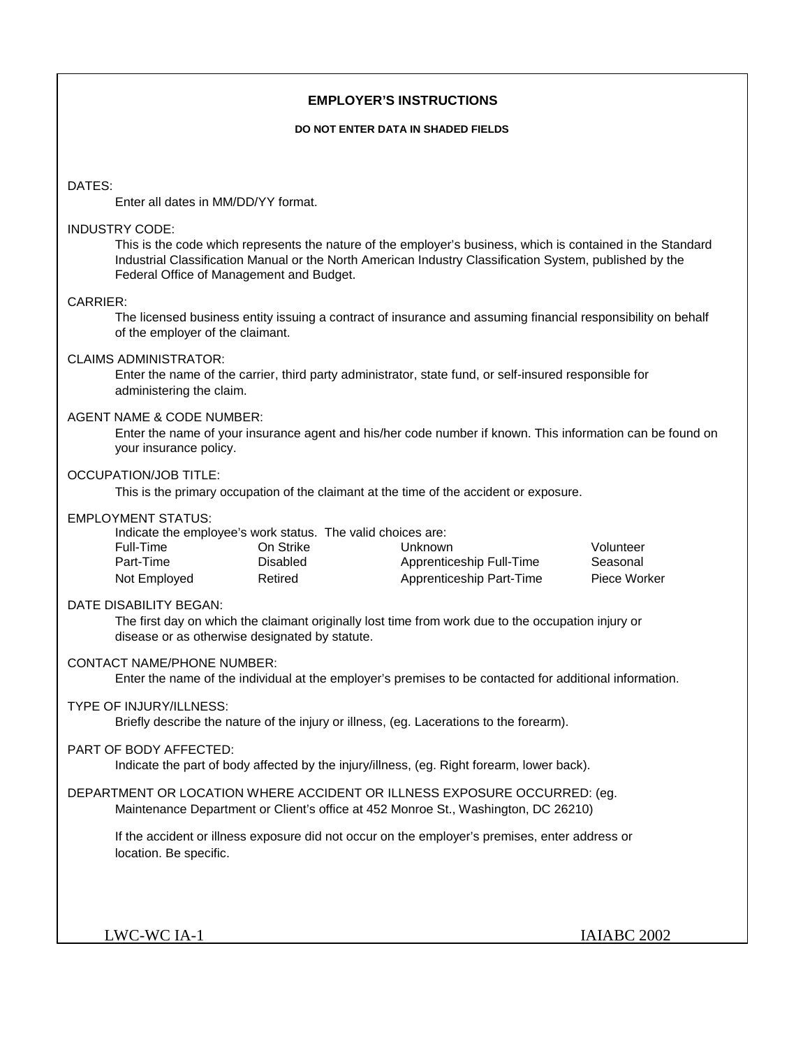## **EMPLOYER'S INSTRUCTIONS**

#### **DO NOT ENTER DATA IN SHADED FIELDS**

## DATES:

Enter all dates in MM/DD/YY format.

## INDUSTRY CODE:

This is the code which represents the nature of the employer's business, which is contained in the Standard Industrial Classification Manual or the North American Industry Classification System, published by the Federal Office of Management and Budget.

## CARRIER:

The licensed business entity issuing a contract of insurance and assuming financial responsibility on behalf of the employer of the claimant.

## CLAIMS ADMINISTRATOR:

Enter the name of the carrier, third party administrator, state fund, or self-insured responsible for administering the claim.

## AGENT NAME & CODE NUMBER:

Enter the name of your insurance agent and his/her code number if known. This information can be found on your insurance policy.

## OCCUPATION/JOB TITLE:

This is the primary occupation of the claimant at the time of the accident or exposure.

## EMPLOYMENT STATUS:

|              |           | Indicate the employee's work status. The valid choices are: |              |
|--------------|-----------|-------------------------------------------------------------|--------------|
| Full-Time    | On Strike | Unknown                                                     | Volunteer    |
| Part-Time    | Disabled  | Apprenticeship Full-Time                                    | Seasonal     |
| Not Employed | Retired   | Apprenticeship Part-Time                                    | Piece Worker |

#### DATE DISABILITY BEGAN:

The first day on which the claimant originally lost time from work due to the occupation injury or disease or as otherwise designated by statute.

## CONTACT NAME/PHONE NUMBER:

Enter the name of the individual at the employer's premises to be contacted for additional information.

#### TYPE OF INJURY/ILLNESS:

Briefly describe the nature of the injury or illness, (eg. Lacerations to the forearm).

#### PART OF BODY AFFECTED:

Indicate the part of body affected by the injury/illness, (eg. Right forearm, lower back).

## DEPARTMENT OR LOCATION WHERE ACCIDENT OR ILLNESS EXPOSURE OCCURRED: (eg. Maintenance Department or Client's office at 452 Monroe St., Washington, DC 26210)

If the accident or illness exposure did not occur on the employer's premises, enter address or location. Be specific.

LWC-WC IA-1 IAIABC 2002